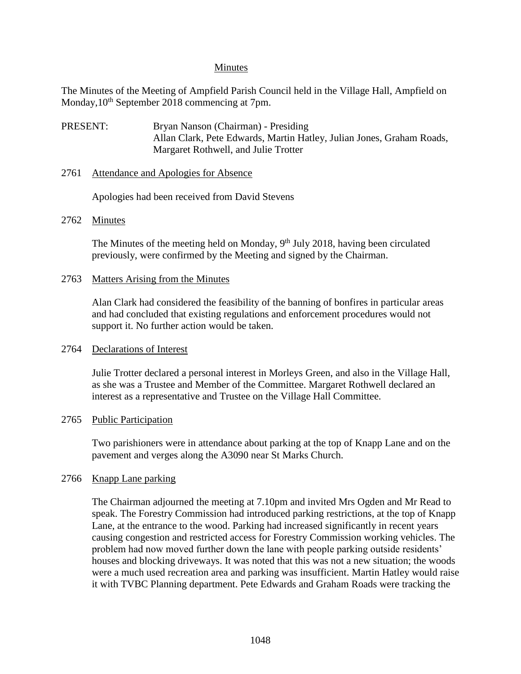### Minutes

The Minutes of the Meeting of Ampfield Parish Council held in the Village Hall, Ampfield on Monday,  $10^{th}$  September 2018 commencing at 7pm.

PRESENT: Bryan Nanson (Chairman) - Presiding Allan Clark, Pete Edwards, Martin Hatley, Julian Jones, Graham Roads, Margaret Rothwell, and Julie Trotter

### 2761 Attendance and Apologies for Absence

Apologies had been received from David Stevens

### 2762 Minutes

The Minutes of the meeting held on Monday, 9<sup>th</sup> July 2018, having been circulated previously, were confirmed by the Meeting and signed by the Chairman.

### 2763 Matters Arising from the Minutes

Alan Clark had considered the feasibility of the banning of bonfires in particular areas and had concluded that existing regulations and enforcement procedures would not support it. No further action would be taken.

## 2764 Declarations of Interest

Julie Trotter declared a personal interest in Morleys Green, and also in the Village Hall, as she was a Trustee and Member of the Committee. Margaret Rothwell declared an interest as a representative and Trustee on the Village Hall Committee.

## 2765 Public Participation

Two parishioners were in attendance about parking at the top of Knapp Lane and on the pavement and verges along the A3090 near St Marks Church.

## 2766 Knapp Lane parking

The Chairman adjourned the meeting at 7.10pm and invited Mrs Ogden and Mr Read to speak. The Forestry Commission had introduced parking restrictions, at the top of Knapp Lane, at the entrance to the wood. Parking had increased significantly in recent years causing congestion and restricted access for Forestry Commission working vehicles. The problem had now moved further down the lane with people parking outside residents' houses and blocking driveways. It was noted that this was not a new situation; the woods were a much used recreation area and parking was insufficient. Martin Hatley would raise it with TVBC Planning department. Pete Edwards and Graham Roads were tracking the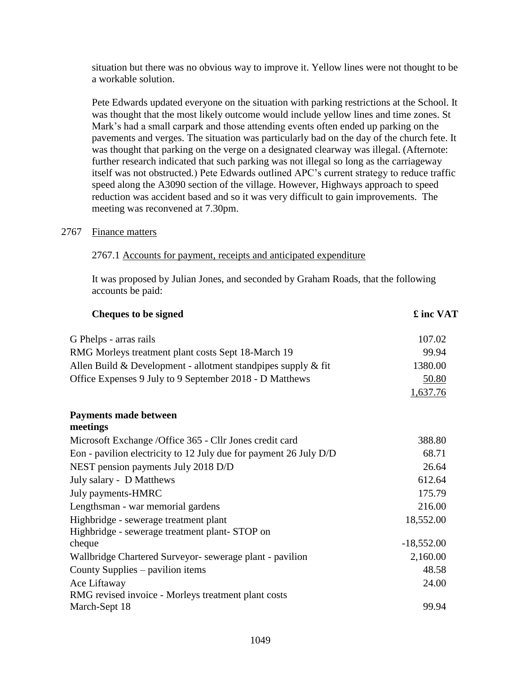situation but there was no obvious way to improve it. Yellow lines were not thought to be a workable solution.

Pete Edwards updated everyone on the situation with parking restrictions at the School. It was thought that the most likely outcome would include yellow lines and time zones. St Mark's had a small carpark and those attending events often ended up parking on the pavements and verges. The situation was particularly bad on the day of the church fete. It was thought that parking on the verge on a designated clearway was illegal. (Afternote: further research indicated that such parking was not illegal so long as the carriageway itself was not obstructed.) Pete Edwards outlined APC's current strategy to reduce traffic speed along the A3090 section of the village. However, Highways approach to speed reduction was accident based and so it was very difficult to gain improvements. The meeting was reconvened at 7.30pm.

### 2767 Finance matters

### 2767.1 Accounts for payment, receipts and anticipated expenditure

It was proposed by Julian Jones, and seconded by Graham Roads, that the following accounts be paid:

| <b>Cheques to be signed</b>                                       | £ inc VAT    |
|-------------------------------------------------------------------|--------------|
| G Phelps - arras rails                                            | 107.02       |
| RMG Morleys treatment plant costs Sept 18-March 19                | 99.94        |
| Allen Build & Development - allotment standpipes supply $\&$ fit  | 1380.00      |
| Office Expenses 9 July to 9 September 2018 - D Matthews           | 50.80        |
|                                                                   | 1,637.76     |
| <b>Payments made between</b><br>meetings                          |              |
| Microsoft Exchange /Office 365 - Cllr Jones credit card           | 388.80       |
| Eon - pavilion electricity to 12 July due for payment 26 July D/D | 68.71        |
| NEST pension payments July 2018 D/D                               | 26.64        |
| July salary - D Matthews                                          | 612.64       |
| July payments-HMRC                                                | 175.79       |
| Lengthsman - war memorial gardens                                 | 216.00       |
| Highbridge - sewerage treatment plant                             | 18,552.00    |
| Highbridge - sewerage treatment plant-STOP on                     |              |
| cheque                                                            | $-18,552.00$ |
| Wallbridge Chartered Surveyor- sewerage plant - pavilion          | 2,160.00     |
| County Supplies – pavilion items                                  | 48.58        |
| Ace Liftaway                                                      | 24.00        |
| RMG revised invoice - Morleys treatment plant costs               |              |
| March-Sept 18                                                     | 99.94        |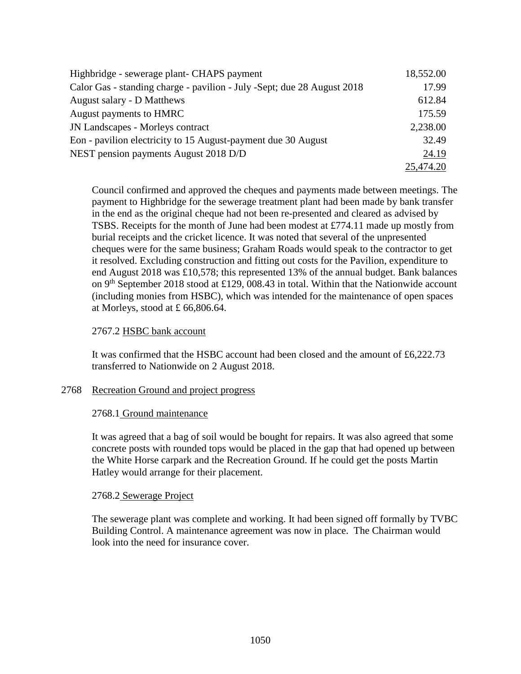| Highbridge - sewerage plant- CHAPS payment                              | 18,552.00 |
|-------------------------------------------------------------------------|-----------|
| Calor Gas - standing charge - pavilion - July -Sept; due 28 August 2018 | 17.99     |
| August salary - D Matthews                                              | 612.84    |
| August payments to HMRC                                                 | 175.59    |
| <b>JN Landscapes - Morleys contract</b>                                 | 2,238.00  |
| Eon - pavilion electricity to 15 August-payment due 30 August           | 32.49     |
| NEST pension payments August 2018 D/D                                   | 24.19     |
|                                                                         | 25,474.20 |

Council confirmed and approved the cheques and payments made between meetings. The payment to Highbridge for the sewerage treatment plant had been made by bank transfer in the end as the original cheque had not been re-presented and cleared as advised by TSBS. Receipts for the month of June had been modest at £774.11 made up mostly from burial receipts and the cricket licence. It was noted that several of the unpresented cheques were for the same business; Graham Roads would speak to the contractor to get it resolved. Excluding construction and fitting out costs for the Pavilion, expenditure to end August 2018 was £10,578; this represented 13% of the annual budget. Bank balances on 9<sup>th</sup> September 2018 stood at £129, 008.43 in total. Within that the Nationwide account (including monies from HSBC), which was intended for the maintenance of open spaces at Morleys, stood at £ 66,806.64.

## 2767.2 HSBC bank account

It was confirmed that the HSBC account had been closed and the amount of £6,222.73 transferred to Nationwide on 2 August 2018.

#### 2768 Recreation Ground and project progress

#### 2768.1 Ground maintenance

It was agreed that a bag of soil would be bought for repairs. It was also agreed that some concrete posts with rounded tops would be placed in the gap that had opened up between the White Horse carpark and the Recreation Ground. If he could get the posts Martin Hatley would arrange for their placement.

## 2768.2 Sewerage Project

The sewerage plant was complete and working. It had been signed off formally by TVBC Building Control. A maintenance agreement was now in place. The Chairman would look into the need for insurance cover.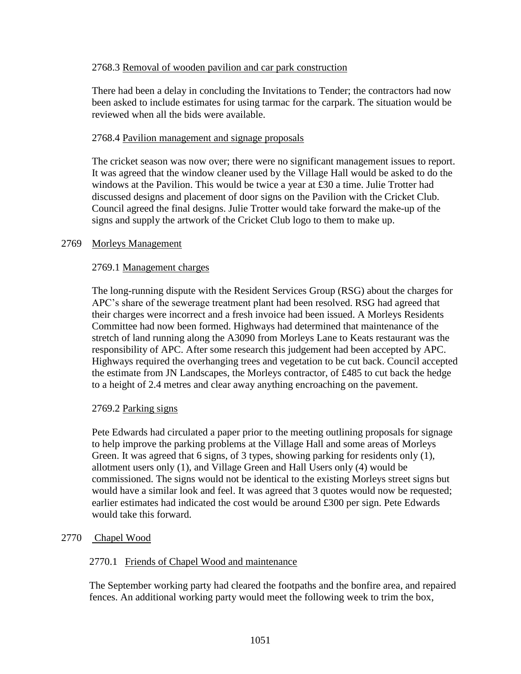# 2768.3 Removal of wooden pavilion and car park construction

There had been a delay in concluding the Invitations to Tender; the contractors had now been asked to include estimates for using tarmac for the carpark. The situation would be reviewed when all the bids were available.

## 2768.4 Pavilion management and signage proposals

The cricket season was now over; there were no significant management issues to report. It was agreed that the window cleaner used by the Village Hall would be asked to do the windows at the Pavilion. This would be twice a year at £30 a time. Julie Trotter had discussed designs and placement of door signs on the Pavilion with the Cricket Club. Council agreed the final designs. Julie Trotter would take forward the make-up of the signs and supply the artwork of the Cricket Club logo to them to make up.

## 2769 Morleys Management

# 2769.1 Management charges

The long-running dispute with the Resident Services Group (RSG) about the charges for APC's share of the sewerage treatment plant had been resolved. RSG had agreed that their charges were incorrect and a fresh invoice had been issued. A Morleys Residents Committee had now been formed. Highways had determined that maintenance of the stretch of land running along the A3090 from Morleys Lane to Keats restaurant was the responsibility of APC. After some research this judgement had been accepted by APC. Highways required the overhanging trees and vegetation to be cut back. Council accepted the estimate from JN Landscapes, the Morleys contractor, of £485 to cut back the hedge to a height of 2.4 metres and clear away anything encroaching on the pavement.

## 2769.2 Parking signs

Pete Edwards had circulated a paper prior to the meeting outlining proposals for signage to help improve the parking problems at the Village Hall and some areas of Morleys Green. It was agreed that 6 signs, of 3 types, showing parking for residents only (1), allotment users only (1), and Village Green and Hall Users only (4) would be commissioned. The signs would not be identical to the existing Morleys street signs but would have a similar look and feel. It was agreed that 3 quotes would now be requested; earlier estimates had indicated the cost would be around £300 per sign. Pete Edwards would take this forward.

# 2770 Chapel Wood

## 2770.1 Friends of Chapel Wood and maintenance

The September working party had cleared the footpaths and the bonfire area, and repaired fences. An additional working party would meet the following week to trim the box,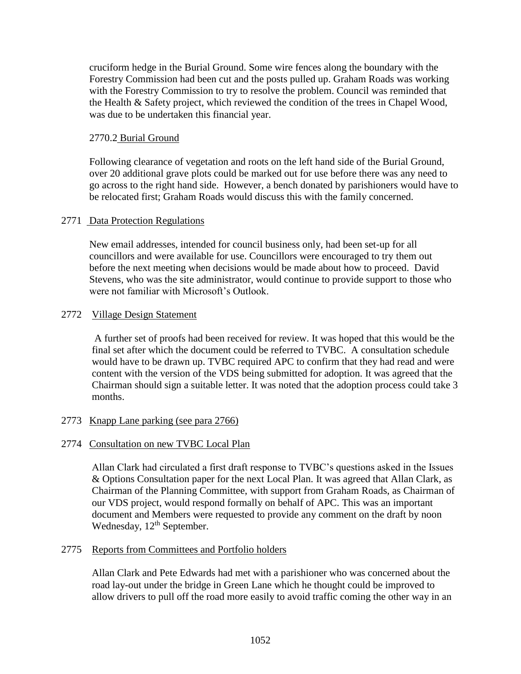cruciform hedge in the Burial Ground. Some wire fences along the boundary with the Forestry Commission had been cut and the posts pulled up. Graham Roads was working with the Forestry Commission to try to resolve the problem. Council was reminded that the Health & Safety project, which reviewed the condition of the trees in Chapel Wood, was due to be undertaken this financial year.

## 2770.2 Burial Ground

Following clearance of vegetation and roots on the left hand side of the Burial Ground, over 20 additional grave plots could be marked out for use before there was any need to go across to the right hand side. However, a bench donated by parishioners would have to be relocated first; Graham Roads would discuss this with the family concerned.

## 2771 Data Protection Regulations

New email addresses, intended for council business only, had been set-up for all councillors and were available for use. Councillors were encouraged to try them out before the next meeting when decisions would be made about how to proceed. David Stevens, who was the site administrator, would continue to provide support to those who were not familiar with Microsoft's Outlook.

### 2772 Village Design Statement

A further set of proofs had been received for review. It was hoped that this would be the final set after which the document could be referred to TVBC. A consultation schedule would have to be drawn up. TVBC required APC to confirm that they had read and were content with the version of the VDS being submitted for adoption. It was agreed that the Chairman should sign a suitable letter. It was noted that the adoption process could take 3 months.

## 2773 Knapp Lane parking (see para 2766)

## 2774 Consultation on new TVBC Local Plan

Allan Clark had circulated a first draft response to TVBC's questions asked in the Issues & Options Consultation paper for the next Local Plan. It was agreed that Allan Clark, as Chairman of the Planning Committee, with support from Graham Roads, as Chairman of our VDS project, would respond formally on behalf of APC. This was an important document and Members were requested to provide any comment on the draft by noon Wednesday, 12<sup>th</sup> September.

#### 2775 Reports from Committees and Portfolio holders

Allan Clark and Pete Edwards had met with a parishioner who was concerned about the road lay-out under the bridge in Green Lane which he thought could be improved to allow drivers to pull off the road more easily to avoid traffic coming the other way in an